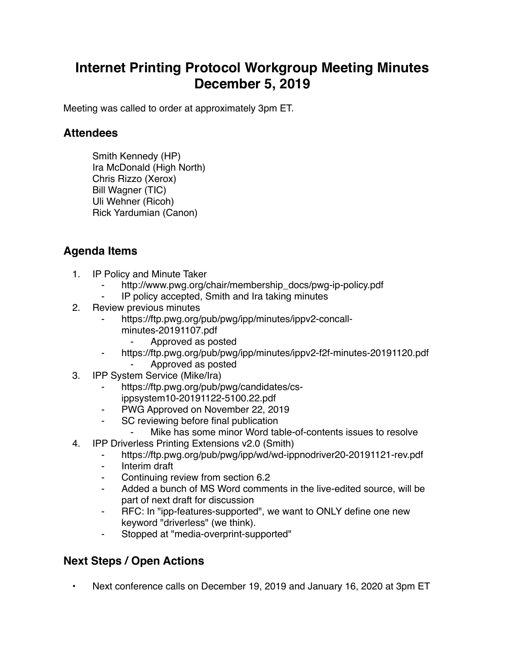## **Internet Printing Protocol Workgroup Meeting Minutes December 5, 2019**

Meeting was called to order at approximately 3pm ET.

## **Attendees**

Smith Kennedy (HP) Ira McDonald (High North) Chris Rizzo (Xerox) Bill Wagner (TIC) Uli Wehner (Ricoh) Rick Yardumian (Canon)

## **Agenda Items**

- 1. IP Policy and Minute Taker
	- http://www.pwg.org/chair/membership\_docs/pwg-ip-policy.pdf
	- IP policy accepted, Smith and Ira taking minutes
- 2. Review previous minutes
	- https://ftp.pwg.org/pub/pwg/ipp/minutes/ippv2-concallminutes-20191107.pdf
		- ⁃ Approved as posted
	- ⁃ https://ftp.pwg.org/pub/pwg/ipp/minutes/ippv2-f2f-minutes-20191120.pdf ⁃ Approved as posted
- 3. IPP System Service (Mike/Ira)
	- https://ftp.pwg.org/pub/pwg/candidates/csippsystem10-20191122-5100.22.pdf
	- PWG Approved on November 22, 2019
	- ⁃ SC reviewing before final publication
		- Mike has some minor Word table-of-contents issues to resolve
- 4. IPP Driverless Printing Extensions v2.0 (Smith)
	- ⁃ https://ftp.pwg.org/pub/pwg/ipp/wd/wd-ippnodriver20-20191121-rev.pdf
	- ⁃ Interim draft
	- Continuing review from section 6.2
	- ⁃ Added a bunch of MS Word comments in the live-edited source, will be part of next draft for discussion
	- ⁃ RFC: In "ipp-features-supported", we want to ONLY define one new keyword "driverless" (we think).
	- ⁃ Stopped at "media-overprint-supported"

## **Next Steps / Open Actions**

• Next conference calls on December 19, 2019 and January 16, 2020 at 3pm ET